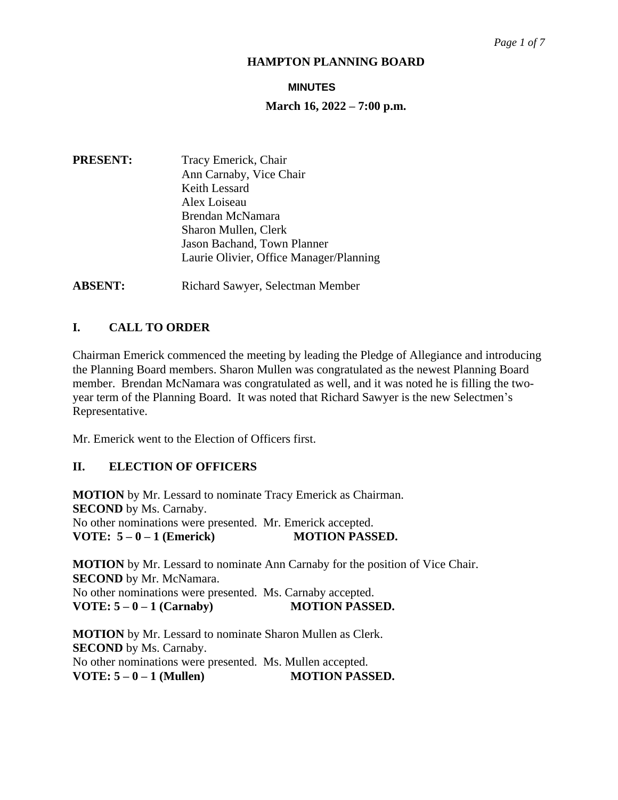#### **MINUTES**

#### **March 16, 2022 – 7:00 p.m.**

- **PRESENT:** Tracy Emerick, Chair Ann Carnaby, Vice Chair Keith Lessard Alex Loiseau Brendan McNamara Sharon Mullen, Clerk Jason Bachand, Town Planner Laurie Olivier, Office Manager/Planning
- **ABSENT:** Richard Sawyer, Selectman Member

# **I. CALL TO ORDER**

Chairman Emerick commenced the meeting by leading the Pledge of Allegiance and introducing the Planning Board members. Sharon Mullen was congratulated as the newest Planning Board member. Brendan McNamara was congratulated as well, and it was noted he is filling the twoyear term of the Planning Board. It was noted that Richard Sawyer is the new Selectmen's Representative.

Mr. Emerick went to the Election of Officers first.

### **II. ELECTION OF OFFICERS**

**MOTION** by Mr. Lessard to nominate Tracy Emerick as Chairman. **SECOND** by Ms. Carnaby. No other nominations were presented. Mr. Emerick accepted. **VOTE: 5 – 0 – 1 (Emerick) MOTION PASSED.**

**MOTION** by Mr. Lessard to nominate Ann Carnaby for the position of Vice Chair. **SECOND** by Mr. McNamara. No other nominations were presented. Ms. Carnaby accepted. **VOTE: 5 – 0 – 1 (Carnaby) MOTION PASSED.**

**MOTION** by Mr. Lessard to nominate Sharon Mullen as Clerk. **SECOND** by Ms. Carnaby. No other nominations were presented. Ms. Mullen accepted. **VOTE: 5 – 0 – 1 (Mullen) MOTION PASSED.**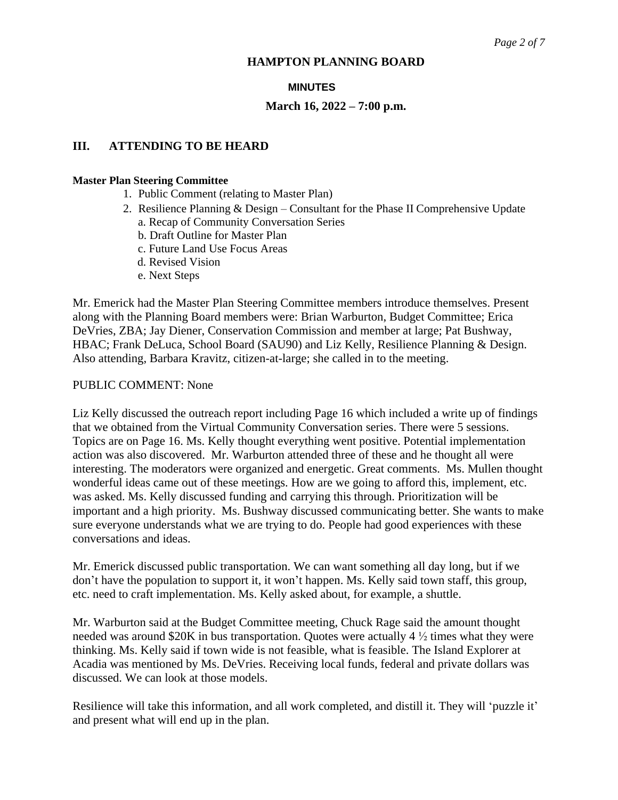#### **MINUTES**

#### **March 16, 2022 – 7:00 p.m.**

### **III. ATTENDING TO BE HEARD**

#### **Master Plan Steering Committee**

- 1. Public Comment (relating to Master Plan)
- 2. Resilience Planning & Design Consultant for the Phase II Comprehensive Update a. Recap of Community Conversation Series
	- b. Draft Outline for Master Plan
	- c. Future Land Use Focus Areas
	- d. Revised Vision
	- e. Next Steps

Mr. Emerick had the Master Plan Steering Committee members introduce themselves. Present along with the Planning Board members were: Brian Warburton, Budget Committee; Erica DeVries, ZBA; Jay Diener, Conservation Commission and member at large; Pat Bushway, HBAC; Frank DeLuca, School Board (SAU90) and Liz Kelly, Resilience Planning & Design. Also attending, Barbara Kravitz, citizen-at-large; she called in to the meeting.

#### PUBLIC COMMENT: None

Liz Kelly discussed the outreach report including Page 16 which included a write up of findings that we obtained from the Virtual Community Conversation series. There were 5 sessions. Topics are on Page 16. Ms. Kelly thought everything went positive. Potential implementation action was also discovered. Mr. Warburton attended three of these and he thought all were interesting. The moderators were organized and energetic. Great comments. Ms. Mullen thought wonderful ideas came out of these meetings. How are we going to afford this, implement, etc. was asked. Ms. Kelly discussed funding and carrying this through. Prioritization will be important and a high priority. Ms. Bushway discussed communicating better. She wants to make sure everyone understands what we are trying to do. People had good experiences with these conversations and ideas.

Mr. Emerick discussed public transportation. We can want something all day long, but if we don't have the population to support it, it won't happen. Ms. Kelly said town staff, this group, etc. need to craft implementation. Ms. Kelly asked about, for example, a shuttle.

Mr. Warburton said at the Budget Committee meeting, Chuck Rage said the amount thought needed was around \$20K in bus transportation. Quotes were actually 4 ½ times what they were thinking. Ms. Kelly said if town wide is not feasible, what is feasible. The Island Explorer at Acadia was mentioned by Ms. DeVries. Receiving local funds, federal and private dollars was discussed. We can look at those models.

Resilience will take this information, and all work completed, and distill it. They will 'puzzle it' and present what will end up in the plan.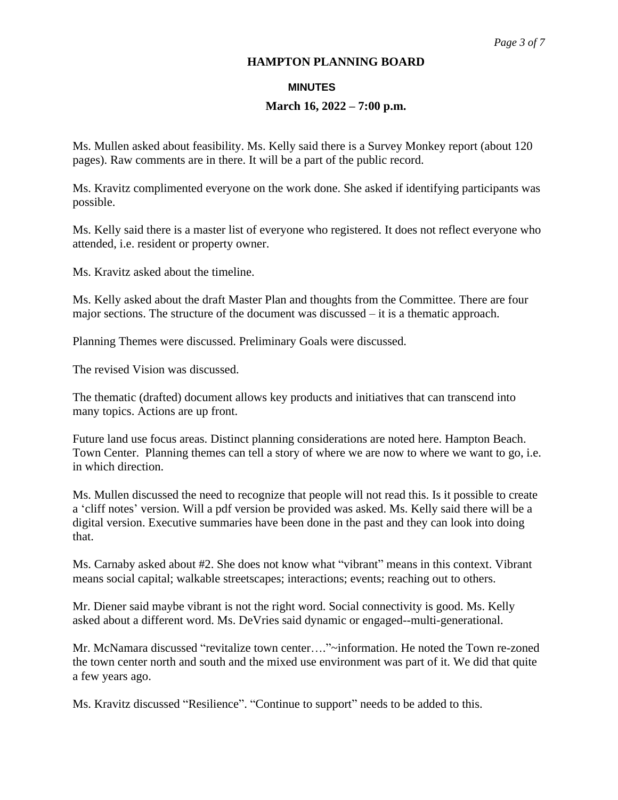#### **MINUTES**

### **March 16, 2022 – 7:00 p.m.**

Ms. Mullen asked about feasibility. Ms. Kelly said there is a Survey Monkey report (about 120 pages). Raw comments are in there. It will be a part of the public record.

Ms. Kravitz complimented everyone on the work done. She asked if identifying participants was possible.

Ms. Kelly said there is a master list of everyone who registered. It does not reflect everyone who attended, i.e. resident or property owner.

Ms. Kravitz asked about the timeline.

Ms. Kelly asked about the draft Master Plan and thoughts from the Committee. There are four major sections. The structure of the document was discussed – it is a thematic approach.

Planning Themes were discussed. Preliminary Goals were discussed.

The revised Vision was discussed.

The thematic (drafted) document allows key products and initiatives that can transcend into many topics. Actions are up front.

Future land use focus areas. Distinct planning considerations are noted here. Hampton Beach. Town Center. Planning themes can tell a story of where we are now to where we want to go, i.e. in which direction.

Ms. Mullen discussed the need to recognize that people will not read this. Is it possible to create a 'cliff notes' version. Will a pdf version be provided was asked. Ms. Kelly said there will be a digital version. Executive summaries have been done in the past and they can look into doing that.

Ms. Carnaby asked about #2. She does not know what "vibrant" means in this context. Vibrant means social capital; walkable streetscapes; interactions; events; reaching out to others.

Mr. Diener said maybe vibrant is not the right word. Social connectivity is good. Ms. Kelly asked about a different word. Ms. DeVries said dynamic or engaged--multi-generational.

Mr. McNamara discussed "revitalize town center…."~information. He noted the Town re-zoned the town center north and south and the mixed use environment was part of it. We did that quite a few years ago.

Ms. Kravitz discussed "Resilience". "Continue to support" needs to be added to this.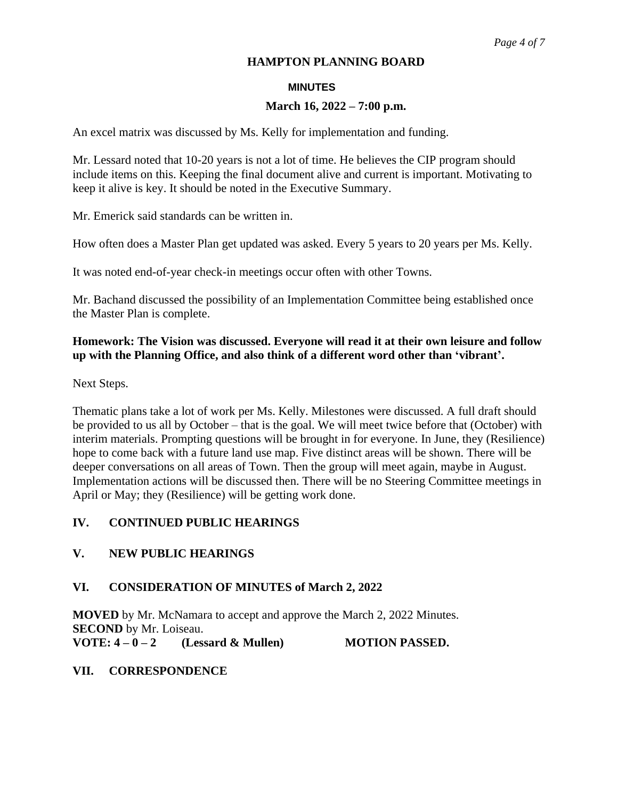#### **MINUTES**

#### **March 16, 2022 – 7:00 p.m.**

An excel matrix was discussed by Ms. Kelly for implementation and funding.

Mr. Lessard noted that 10-20 years is not a lot of time. He believes the CIP program should include items on this. Keeping the final document alive and current is important. Motivating to keep it alive is key. It should be noted in the Executive Summary.

Mr. Emerick said standards can be written in.

How often does a Master Plan get updated was asked. Every 5 years to 20 years per Ms. Kelly.

It was noted end-of-year check-in meetings occur often with other Towns.

Mr. Bachand discussed the possibility of an Implementation Committee being established once the Master Plan is complete.

# **Homework: The Vision was discussed. Everyone will read it at their own leisure and follow up with the Planning Office, and also think of a different word other than 'vibrant'.**

Next Steps.

Thematic plans take a lot of work per Ms. Kelly. Milestones were discussed. A full draft should be provided to us all by October – that is the goal. We will meet twice before that (October) with interim materials. Prompting questions will be brought in for everyone. In June, they (Resilience) hope to come back with a future land use map. Five distinct areas will be shown. There will be deeper conversations on all areas of Town. Then the group will meet again, maybe in August. Implementation actions will be discussed then. There will be no Steering Committee meetings in April or May; they (Resilience) will be getting work done.

### **IV. CONTINUED PUBLIC HEARINGS**

### **V. NEW PUBLIC HEARINGS**

### **VI. CONSIDERATION OF MINUTES of March 2, 2022**

**MOVED** by Mr. McNamara to accept and approve the March 2, 2022 Minutes. **SECOND** by Mr. Loiseau. **VOTE: 4 – 0 – 2 (Lessard & Mullen) MOTION PASSED.** 

### **VII. CORRESPONDENCE**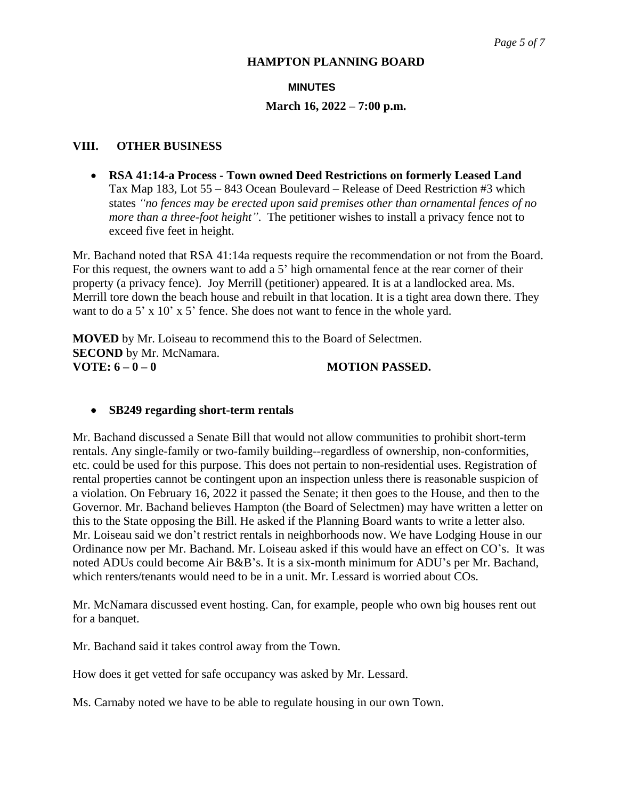#### **MINUTES**

#### **March 16, 2022 – 7:00 p.m.**

#### **VIII. OTHER BUSINESS**

 **RSA 41:14-a Process - Town owned Deed Restrictions on formerly Leased Land** Tax Map 183, Lot 55 – 843 Ocean Boulevard – Release of Deed Restriction #3 which states *"no fences may be erected upon said premises other than ornamental fences of no more than a three-foot height"*. The petitioner wishes to install a privacy fence not to exceed five feet in height.

Mr. Bachand noted that RSA 41:14a requests require the recommendation or not from the Board. For this request, the owners want to add a 5' high ornamental fence at the rear corner of their property (a privacy fence). Joy Merrill (petitioner) appeared. It is at a landlocked area. Ms. Merrill tore down the beach house and rebuilt in that location. It is a tight area down there. They want to do a 5' x 10' x 5' fence. She does not want to fence in the whole yard.

**MOVED** by Mr. Loiseau to recommend this to the Board of Selectmen. **SECOND** by Mr. McNamara. **VOTE:**  $6 - 0 - 0$  **MOTION PASSED.** 

#### **SB249 regarding short-term rentals**

Mr. Bachand discussed a Senate Bill that would not allow communities to prohibit short-term rentals. Any single-family or two-family building--regardless of ownership, non-conformities, etc. could be used for this purpose. This does not pertain to non-residential uses. Registration of rental properties cannot be contingent upon an inspection unless there is reasonable suspicion of a violation. On February 16, 2022 it passed the Senate; it then goes to the House, and then to the Governor. Mr. Bachand believes Hampton (the Board of Selectmen) may have written a letter on this to the State opposing the Bill. He asked if the Planning Board wants to write a letter also. Mr. Loiseau said we don't restrict rentals in neighborhoods now. We have Lodging House in our Ordinance now per Mr. Bachand. Mr. Loiseau asked if this would have an effect on CO's. It was noted ADUs could become Air B&B's. It is a six-month minimum for ADU's per Mr. Bachand, which renters/tenants would need to be in a unit. Mr. Lessard is worried about COs.

Mr. McNamara discussed event hosting. Can, for example, people who own big houses rent out for a banquet.

Mr. Bachand said it takes control away from the Town.

How does it get vetted for safe occupancy was asked by Mr. Lessard.

Ms. Carnaby noted we have to be able to regulate housing in our own Town.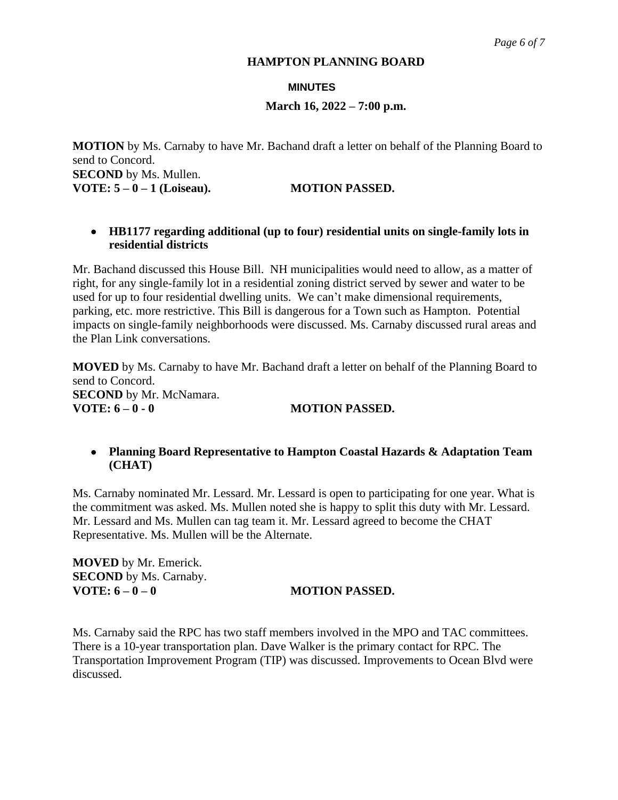#### **MINUTES**

#### **March 16, 2022 – 7:00 p.m.**

**MOTION** by Ms. Carnaby to have Mr. Bachand draft a letter on behalf of the Planning Board to send to Concord. **SECOND** by Ms. Mullen. **VOTE: 5 – 0 – 1 (Loiseau). MOTION PASSED.**

#### **HB1177 regarding additional (up to four) residential units on single-family lots in residential districts**

Mr. Bachand discussed this House Bill. NH municipalities would need to allow, as a matter of right, for any single-family lot in a residential zoning district served by sewer and water to be used for up to four residential dwelling units. We can't make dimensional requirements, parking, etc. more restrictive. This Bill is dangerous for a Town such as Hampton. Potential impacts on single-family neighborhoods were discussed. Ms. Carnaby discussed rural areas and the Plan Link conversations.

**MOVED** by Ms. Carnaby to have Mr. Bachand draft a letter on behalf of the Planning Board to send to Concord. **SECOND** by Mr. McNamara. **VOTE: 6 – 0 - 0 MOTION PASSED.**

### **Planning Board Representative to Hampton Coastal Hazards & Adaptation Team (CHAT)**

Ms. Carnaby nominated Mr. Lessard. Mr. Lessard is open to participating for one year. What is the commitment was asked. Ms. Mullen noted she is happy to split this duty with Mr. Lessard. Mr. Lessard and Ms. Mullen can tag team it. Mr. Lessard agreed to become the CHAT Representative. Ms. Mullen will be the Alternate.

**MOVED** by Mr. Emerick. **SECOND** by Ms. Carnaby. **VOTE: 6 – 0 – 0 MOTION PASSED.** 

Ms. Carnaby said the RPC has two staff members involved in the MPO and TAC committees. There is a 10-year transportation plan. Dave Walker is the primary contact for RPC. The Transportation Improvement Program (TIP) was discussed. Improvements to Ocean Blvd were discussed.